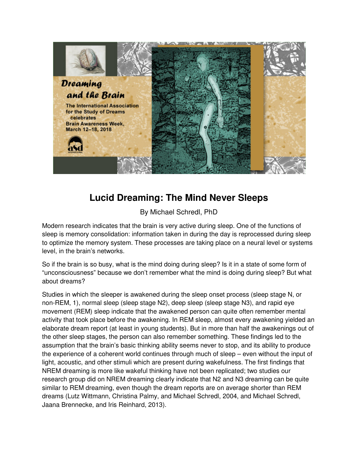

# **Lucid Dreaming: The Mind Never Sleeps**

By Michael Schredl, PhD

Modern research indicates that the brain is very active during sleep. One of the functions of sleep is memory consolidation: information taken in during the day is reprocessed during sleep to optimize the memory system. These processes are taking place on a neural level or systems level, in the brain's networks.

So if the brain is so busy, what is the mind doing during sleep? Is it in a state of some form of "unconsciousness" because we don't remember what the mind is doing during sleep? But what about dreams?

Studies in which the sleeper is awakened during the sleep onset process (sleep stage N, or non-REM, 1), normal sleep (sleep stage N2), deep sleep (sleep stage N3), and rapid eye movement (REM) sleep indicate that the awakened person can quite often remember mental activity that took place before the awakening. In REM sleep, almost every awakening yielded an elaborate dream report (at least in young students). But in more than half the awakenings out of the other sleep stages, the person can also remember something. These findings led to the assumption that the brain's basic thinking ability seems never to stop, and its ability to produce the experience of a coherent world continues through much of sleep – even without the input of light, acoustic, and other stimuli which are present during wakefulness. The first findings that NREM dreaming is more like wakeful thinking have not been replicated; two studies our research group did on NREM dreaming clearly indicate that N2 and N3 dreaming can be quite similar to REM dreaming, even though the dream reports are on average shorter than REM dreams (Lutz Wittmann, Christina Palmy, and Michael Schredl, 2004, and Michael Schredl, Jaana Brennecke, and Iris Reinhard, 2013).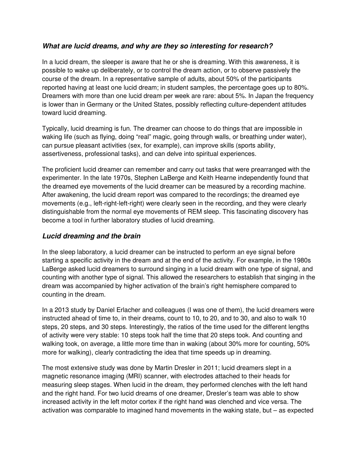#### **What are lucid dreams, and why are they so interesting for research?**

In a lucid dream, the sleeper is aware that he or she is dreaming. With this awareness, it is possible to wake up deliberately, or to control the dream action, or to observe passively the course of the dream. In a representative sample of adults, about 50% of the participants reported having at least one lucid dream; in student samples, the percentage goes up to 80%. Dreamers with more than one lucid dream per week are rare: about 5%. In Japan the frequency is lower than in Germany or the United States, possibly reflecting culture-dependent attitudes toward lucid dreaming.

Typically, lucid dreaming is fun. The dreamer can choose to do things that are impossible in waking life (such as flying, doing "real" magic, going through walls, or breathing under water), can pursue pleasant activities (sex, for example), can improve skills (sports ability, assertiveness, professional tasks), and can delve into spiritual experiences.

The proficient lucid dreamer can remember and carry out tasks that were prearranged with the experimenter. In the late 1970s, Stephen LaBerge and Keith Hearne independently found that the dreamed eye movements of the lucid dreamer can be measured by a recording machine. After awakening, the lucid dream report was compared to the recordings; the dreamed eye movements (e.g., left-right-left-right) were clearly seen in the recording, and they were clearly distinguishable from the normal eye movements of REM sleep. This fascinating discovery has become a tool in further laboratory studies of lucid dreaming.

## **Lucid dreaming and the brain**

In the sleep laboratory, a lucid dreamer can be instructed to perform an eye signal before starting a specific activity in the dream and at the end of the activity. For example, in the 1980s LaBerge asked lucid dreamers to surround singing in a lucid dream with one type of signal, and counting with another type of signal. This allowed the researchers to establish that singing in the dream was accompanied by higher activation of the brain's right hemisphere compared to counting in the dream.

In a 2013 study by Daniel Erlacher and colleagues (I was one of them), the lucid dreamers were instructed ahead of time to, in their dreams, count to 10, to 20, and to 30, and also to walk 10 steps, 20 steps, and 30 steps. Interestingly, the ratios of the time used for the different lengths of activity were very stable: 10 steps took half the time that 20 steps took. And counting and walking took, on average, a little more time than in waking (about 30% more for counting, 50% more for walking), clearly contradicting the idea that time speeds up in dreaming.

The most extensive study was done by Martin Dresler in 2011; lucid dreamers slept in a magnetic resonance imaging (MRI) scanner, with electrodes attached to their heads for measuring sleep stages. When lucid in the dream, they performed clenches with the left hand and the right hand. For two lucid dreams of one dreamer, Dresler's team was able to show increased activity in the left motor cortex if the right hand was clenched and vice versa. The activation was comparable to imagined hand movements in the waking state, but – as expected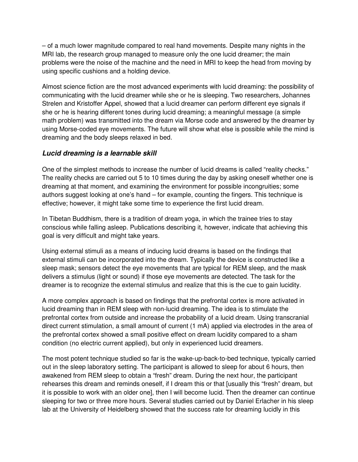– of a much lower magnitude compared to real hand movements. Despite many nights in the MRI lab, the research group managed to measure only the one lucid dreamer; the main problems were the noise of the machine and the need in MRI to keep the head from moving by using specific cushions and a holding device.

Almost science fiction are the most advanced experiments with lucid dreaming: the possibility of communicating with the lucid dreamer while she or he is sleeping. Two researchers, Johannes Strelen and Kristoffer Appel, showed that a lucid dreamer can perform different eye signals if she or he is hearing different tones during lucid dreaming; a meaningful message (a simple math problem) was transmitted into the dream via Morse code and answered by the dreamer by using Morse-coded eye movements. The future will show what else is possible while the mind is dreaming and the body sleeps relaxed in bed.

## **Lucid dreaming is a learnable skill**

One of the simplest methods to increase the number of lucid dreams is called "reality checks." The reality checks are carried out 5 to 10 times during the day by asking oneself whether one is dreaming at that moment, and examining the environment for possible incongruities; some authors suggest looking at one's hand – for example, counting the fingers. This technique is effective; however, it might take some time to experience the first lucid dream.

In Tibetan Buddhism, there is a tradition of dream yoga, in which the trainee tries to stay conscious while falling asleep. Publications describing it, however, indicate that achieving this goal is very difficult and might take years.

Using external stimuli as a means of inducing lucid dreams is based on the findings that external stimuli can be incorporated into the dream. Typically the device is constructed like a sleep mask; sensors detect the eye movements that are typical for REM sleep, and the mask delivers a stimulus (light or sound) if those eye movements are detected. The task for the dreamer is to recognize the external stimulus and realize that this is the cue to gain lucidity.

A more complex approach is based on findings that the prefrontal cortex is more activated in lucid dreaming than in REM sleep with non-lucid dreaming. The idea is to stimulate the prefrontal cortex from outside and increase the probability of a lucid dream. Using transcranial direct current stimulation, a small amount of current (1 mA) applied via electrodes in the area of the prefrontal cortex showed a small positive effect on dream lucidity compared to a sham condition (no electric current applied), but only in experienced lucid dreamers.

The most potent technique studied so far is the wake-up-back-to-bed technique, typically carried out in the sleep laboratory setting. The participant is allowed to sleep for about 6 hours, then awakened from REM sleep to obtain a "fresh" dream. During the next hour, the participant rehearses this dream and reminds oneself, if I dream this or that [usually this "fresh" dream, but it is possible to work with an older one], then I will become lucid. Then the dreamer can continue sleeping for two or three more hours. Several studies carried out by Daniel Erlacher in his sleep lab at the University of Heidelberg showed that the success rate for dreaming lucidly in this